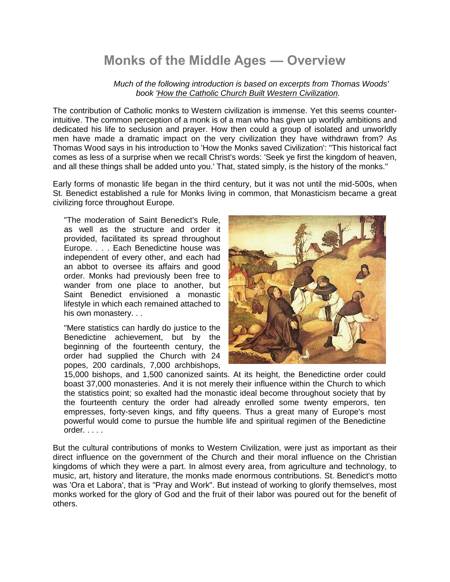# **Monks of the Middle Ages — Overview**

*Much of the following introduction is based on excerpts from Thomas Woods' book 'How the Catholic Church Built Western Civilization.*

The contribution of Catholic monks to Western civilization is immense. Yet this seems counterintuitive. The common perception of a monk is of a man who has given up worldly ambitions and dedicated his life to seclusion and prayer. How then could a group of isolated and unworldly men have made a dramatic impact on the very civilization they have withdrawn from? As Thomas Wood says in his introduction to 'How the Monks saved Civilization': "This historical fact comes as less of a surprise when we recall Christ's words: 'Seek ye first the kingdom of heaven, and all these things shall be added unto you.' That, stated simply, is the history of the monks."

Early forms of monastic life began in the third century, but it was not until the mid-500s, when St. Benedict established a rule for Monks living in common, that Monasticism became a great civilizing force throughout Europe.

"The moderation of Saint Benedict's Rule, as well as the structure and order it provided, facilitated its spread throughout Europe. . . . Each Benedictine house was independent of every other, and each had an abbot to oversee its affairs and good order. Monks had previously been free to wander from one place to another, but Saint Benedict envisioned a monastic lifestyle in which each remained attached to his own monastery. . .

"Mere statistics can hardly do justice to the Benedictine achievement, but by the beginning of the fourteenth century, the order had supplied the Church with 24 popes, 200 cardinals, 7,000 archbishops,



15,000 bishops, and 1,500 canonized saints. At its height, the Benedictine order could boast 37,000 monasteries. And it is not merely their influence within the Church to which the statistics point; so exalted had the monastic ideal become throughout society that by the fourteenth century the order had already enrolled some twenty emperors, ten empresses, forty-seven kings, and fifty queens. Thus a great many of Europe's most powerful would come to pursue the humble life and spiritual regimen of the Benedictine order. . . . .

But the cultural contributions of monks to Western Civilization, were just as important as their direct influence on the government of the Church and their moral influence on the Christian kingdoms of which they were a part. In almost every area, from agriculture and technology, to music, art, history and literature, the monks made enormous contributions. St. Benedict's motto was 'Ora et Labora', that is "Pray and Work". But instead of working to glorify themselves, most monks worked for the glory of God and the fruit of their labor was poured out for the benefit of others.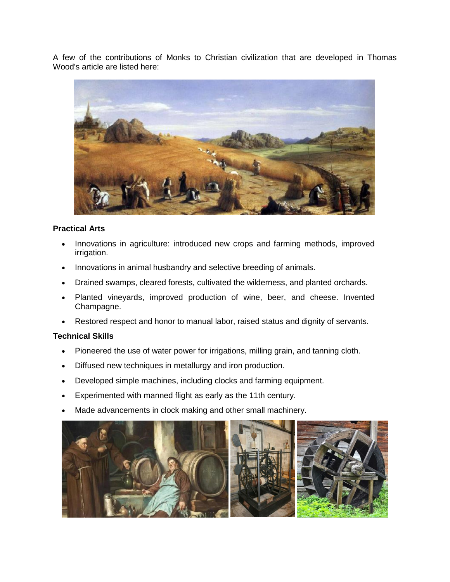A few of the contributions of Monks to Christian civilization that are developed in Thomas Wood's article are listed here:



### **Practical Arts**

- Innovations in agriculture: introduced new crops and farming methods, improved irrigation.
- Innovations in animal husbandry and selective breeding of animals.
- Drained swamps, cleared forests, cultivated the wilderness, and planted orchards.
- Planted vineyards, improved production of wine, beer, and cheese. Invented Champagne.
- Restored respect and honor to manual labor, raised status and dignity of servants.

## **Technical Skills**

- Pioneered the use of water power for irrigations, milling grain, and tanning cloth.
- Diffused new techniques in metallurgy and iron production.
- Developed simple machines, including clocks and farming equipment.
- Experimented with manned flight as early as the 11th century.
- Made advancements in clock making and other small machinery.

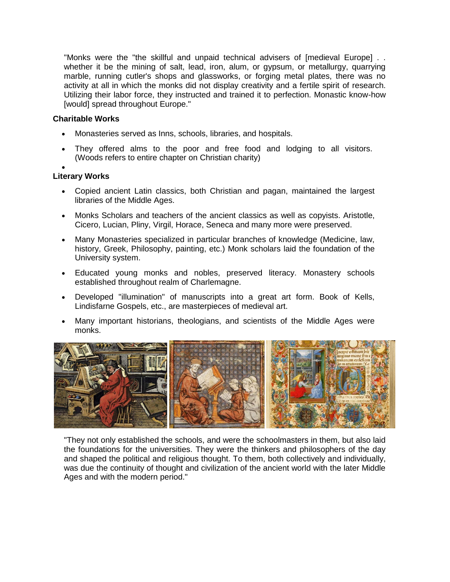"Monks were the "the skillful and unpaid technical advisers of [medieval Europe] . . whether it be the mining of salt, lead, iron, alum, or gypsum, or metallurgy, quarrying marble, running cutler's shops and glassworks, or forging metal plates, there was no activity at all in which the monks did not display creativity and a fertile spirit of research. Utilizing their labor force, they instructed and trained it to perfection. Monastic know-how [would] spread throughout Europe."

## **Charitable Works**

- Monasteries served as Inns, schools, libraries, and hospitals.
- They offered alms to the poor and free food and lodging to all visitors. (Woods refers to entire chapter on Christian charity)

#### $\bullet$ **Literary Works**

- Copied ancient Latin classics, both Christian and pagan, maintained the largest libraries of the Middle Ages.
- Monks Scholars and teachers of the ancient classics as well as copyists. Aristotle, Cicero, Lucian, Pliny, Virgil, Horace, Seneca and many more were preserved.
- Many Monasteries specialized in particular branches of knowledge (Medicine, law, history, Greek, Philosophy, painting, etc.) Monk scholars laid the foundation of the University system.
- Educated young monks and nobles, preserved literacy. Monastery schools established throughout realm of Charlemagne.
- Developed "illumination" of manuscripts into a great art form. Book of Kells, Lindisfarne Gospels, etc., are masterpieces of medieval art.
- Many important historians, theologians, and scientists of the Middle Ages were monks.



"They not only established the schools, and were the schoolmasters in them, but also laid the foundations for the universities. They were the thinkers and philosophers of the day and shaped the political and religious thought. To them, both collectively and individually, was due the continuity of thought and civilization of the ancient world with the later Middle Ages and with the modern period."